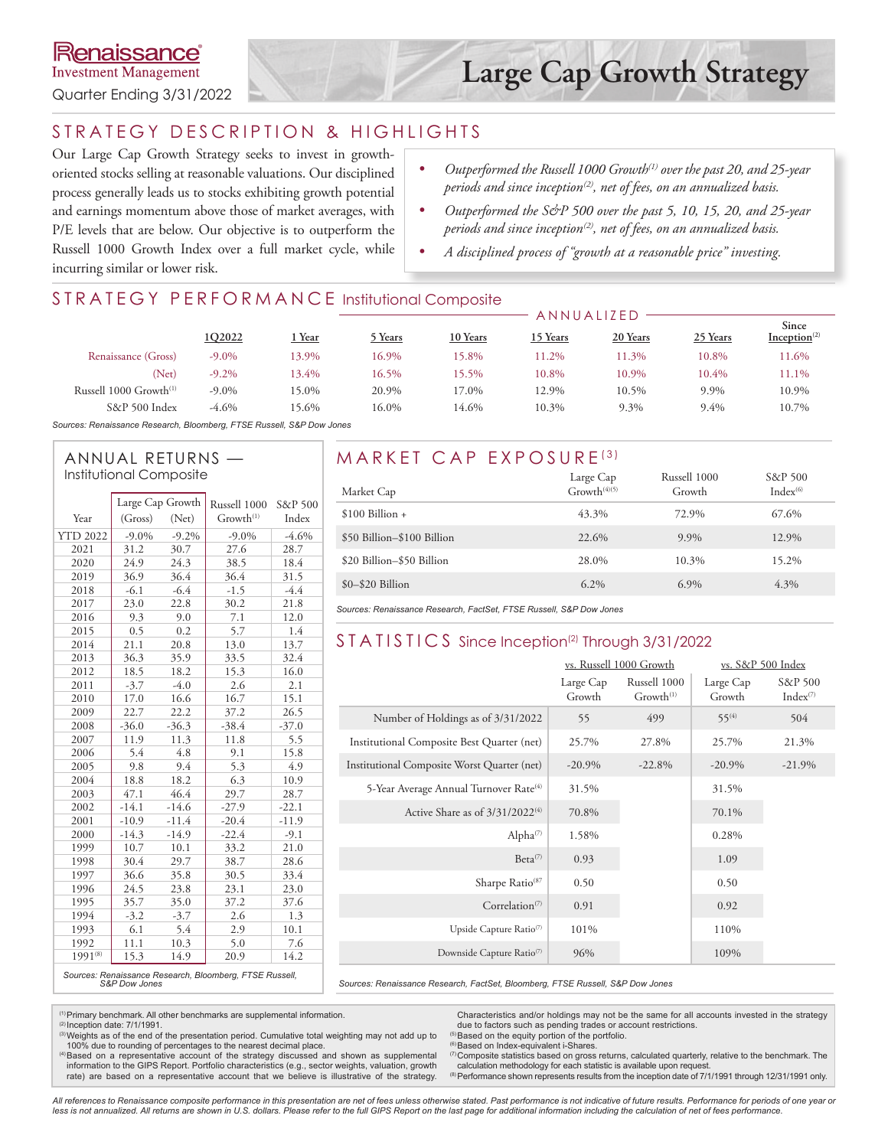#### STRATEGY DESCRIPTION & HIGHLIGHTS

Our Large Cap Growth Strategy seeks to invest in growthoriented stocks selling at reasonable valuations. Our disciplined process generally leads us to stocks exhibiting growth potential and earnings momentum above those of market averages, with P/E levels that are below. Our objective is to outperform the Russell 1000 Growth Index over a full market cycle, while incurring similar or lower risk.

- *• Outperformed the Russell 1000 Growth(1) over the past 20, and 25-year periods and since inception(2), net of fees, on an annualized basis.*
- Outperformed the S&P 500 over the past 5, 10, 15, 20, and 25-year *periods and since inception(2), net of fees, on an annualized basis.*
- *• A disciplined process of "growth at a reasonable price" investing.*

ANNUALIZED

#### STRATEGY PERFORMANCE Institutional Composite

|                             |          |               | ANNUALIZED |          |          |          |          |                                   |
|-----------------------------|----------|---------------|------------|----------|----------|----------|----------|-----------------------------------|
|                             | 1Q2022   | <u>i Year</u> | Years      | 10 Years | 15 Years | 20 Years | 25 Years | Since<br>Inception <sup>(2)</sup> |
| Renaissance (Gross)         | $-9.0\%$ | 13.9%         | 16.9%      | 5.8%     | 11.2%    | 11.3%    | 10.8%    | 1.6%                              |
| (Net)                       | $-9.2\%$ | 13.4%         | 16.5%      | $5.5\%$  | 10.8%    | 10.9%    | 10.4%    | 11.1%                             |
| Russell 1000 $Growth^{(1)}$ | $-9.0\%$ | 15.0%         | 20.9%      | 7.0%     | 12.9%    | 10.5%    | 9.9%     | 10.9%                             |
| S&P 500 Index               | $-4.6\%$ | 15.6%         | 16.0%      | 14.6%    | 10.3%    | 9.3%     | 9.4%     | 10.7%                             |
|                             |          |               |            |          |          |          |          |                                   |

*Sources: Renaissance Research, Bloomberg, FTSE Russell, S&P Dow Jones*

# Institutional Composite

|                 |          | Large Cap Growth | Russell 1000                                           | S&P 500      |
|-----------------|----------|------------------|--------------------------------------------------------|--------------|
| Year            | (Gross)  | (Net)            | $Growth^{(1)}$                                         | Index        |
| <b>YTD 2022</b> | $-9.0\%$ | $-9.2\%$         | $-9.0\%$                                               | $-4.6%$      |
| 2021            | 31.2     | 30.7             | 27.6                                                   | 28.7         |
| 2020            | 24.9     | 24.3             | 38.5                                                   | 18.4         |
| 2019            | 36.9     | 36.4             | 36.4                                                   | 31.5         |
| 2018            | $-6.1$   | $-6.4$           | $-1.5$                                                 | $-4.4$       |
|                 |          |                  |                                                        |              |
| 2017            | 23.0     | 22.8             | 30.2<br>7.1                                            | 21.8<br>12.0 |
| 2016            | 9.3      | 9.0              |                                                        |              |
| 2015            | 0.5      | 0.2              | 5.7                                                    | 1.4          |
| 2014            | 21.1     | 20.8             | 13.0                                                   | 13.7         |
| 2013            | 36.3     | 35.9             | 33.5                                                   | 32.4         |
| 2012            | 18.5     | 18.2             | 15.3                                                   | 16.0         |
| 2011            | $-3.7$   | $-4.0$           | 2.6                                                    | 2.1          |
| 2010            | 17.0     | 16.6             | 16.7                                                   | 15.1         |
| 2009            | 22.7     | 22.2             | 37.2                                                   | 26.5         |
| 2008            | $-36.0$  | $-36.3$          | $-38.4$                                                | $-37.0$      |
| 2007            | 11.9     | 11.3             | 11.8                                                   | 5.5          |
| 2006            | 5.4      | 4.8              | 9.1                                                    | 15.8         |
| 2005            | 9.8      | 9.4              | 5.3                                                    | 4.9          |
| 2004            | 18.8     | 18.2             | 6.3                                                    | 10.9         |
| 2003            | 47.1     | 46.4             | 29.7                                                   | 28.7         |
| 2002            | $-14.1$  | $-14.6$          | $-27.9$                                                | $-22.1$      |
| 2001            | $-10.9$  | $-11.4$          | $-20.4$                                                | $-11.9$      |
| 2000            | $-14.3$  | $-14.9$          | $-22.4$                                                | $-9.1$       |
| 1999            | 10.7     | 10.1             | 33.2                                                   | 21.0         |
| 1998            | 30.4     | 29.7             | 38.7                                                   | 28.6         |
| 1997            | 36.6     | 35.8             | 30.5                                                   | 33.4         |
| 1996            | 24.5     | 23.8             | 23.1                                                   | 23.0         |
| 1995            | 35.7     | 35.0             | 37.2                                                   | 37.6         |
| 1994            | $-3.2$   | $-3.7$           | 2.6                                                    | 1.3          |
| 1993            | 6.1      | 5.4              | 2.9                                                    | 10.1         |
| 1992            | 11.1     | 10.3             | 5.0                                                    | 7.6          |
| $1991^{(8)}$    | 15.3     | 14.9             | 20.9                                                   | 14.2         |
|                 |          |                  | Courses: Pensissance Pessarsh, Bloomberg, ETSE Pussell |              |

## ANNUAL RETURNS — MARKET CAP EXPOSURE<sup>(3)</sup>

| Market Cap                 | Large Cap<br>$Growth^{(4)(5)}$ | Russell 1000<br>Growth | S&P 500<br>$Index^{(6)}$ |
|----------------------------|--------------------------------|------------------------|--------------------------|
| $$100$ Billion +           | 43.3%                          | 72.9%                  | 67.6%                    |
| \$50 Billion-\$100 Billion | 22.6%                          | $9.9\%$                | 12.9%                    |
| \$20 Billion-\$50 Billion  | 28.0%                          | 10.3%                  | 15.2%                    |
| $$0-$20$ Billion           | $6.2\%$                        | $6.9\%$                | 4.3%                     |

*Sources: Renaissance Research, FactSet, FTSE Russell, S&P Dow Jones*

#### STATISTICS Since Inception<sup>(2)</sup> Through 3/31/2022

|                                                    |                     | vs. Russell 1000 Growth               | vs. S&P 500 Index   |                          |  |
|----------------------------------------------------|---------------------|---------------------------------------|---------------------|--------------------------|--|
|                                                    | Large Cap<br>Growth | Russell 1000<br>Growth <sup>(1)</sup> | Large Cap<br>Growth | S&P 500<br>$Index^{(7)}$ |  |
| Number of Holdings as of 3/31/2022                 | 55                  | 499                                   | $55^{(4)}$          | 504                      |  |
| Institutional Composite Best Quarter (net)         | 25.7%               | 27.8%                                 | 25.7%               | 21.3%                    |  |
| Institutional Composite Worst Quarter (net)        | $-20.9\%$           | $-22.8%$                              | $-20.9\%$           | $-21.9%$                 |  |
| 5-Year Average Annual Turnover Rate <sup>(4)</sup> | 31.5%               |                                       | 31.5%               |                          |  |
| Active Share as of $3/31/2022^{(4)}$               | 70.8%               |                                       | 70.1%               |                          |  |
| Alpha <sup>(7)</sup>                               | 1.58%               |                                       | 0.28%               |                          |  |
| Beta <sup>(7)</sup>                                | 0.93                |                                       | 1.09                |                          |  |
| Sharpe Ratio <sup>(87</sup>                        | 0.50                |                                       | 0.50                |                          |  |
| Correlation <sup><math>(7)</math></sup>            | 0.91                |                                       | 0.92                |                          |  |
| Upside Capture Ratio <sup>(7)</sup>                | 101%                |                                       | 110%                |                          |  |
| Downside Capture Ratio <sup>(7)</sup>              | 96%                 |                                       | 109%                |                          |  |

*Sources: Renaissance Research, Bloomberg, FTSE Russell, S&P Dow Jones*

<sup>(1)</sup> Primary benchmark. All other benchmarks are supplemental information.<br><sup>②</sup> Inception date: 7/1/1991.

<sup>(3)</sup> Weights as of the end of the presentation period. Cumulative total weighting may not add up to 100% due to rounding of percentages to the nearest decimal place.<br><sup>(4)</sup>Based on a representative account of the strategy discussed and shown as supplemental

information to the GIPS Report. Portfolio characteristics (e.g., sector weights, valuation, growth rate) are based on a representative account that we believe is illustrative of the strategy.

Characteristics and/or holdings may not be the same for all accounts invested in the strategy due to factors such as pending trades or account restrictions.

 $(5)$ Based on the equity portion of the portfolio.<br> $(6)$ Based on Index-equivalent i-Shares.

(7) Composite statistics based on gross returns, calculated quarterly, relative to the benchmark. The calculation methodology for each statistic is available upon request.

 $<sup>(8)</sup>$  Performance shown represents results from the inception date of 7/1/1991 through 12/31/1991 only.</sup>

*All references to Renaissance composite performance in this presentation are net of fees unless otherwise stated. Past performance is not indicative of future results. Performance for periods of one year or*  less is not annualized. All returns are shown in U.S. dollars. Please refer to the full GIPS Report on the last page for additional information including the calculation of net of fees performance.

*Sources: Renaissance Research, FactSet, Bloomberg, FTSE Russell, S&P Dow Jones*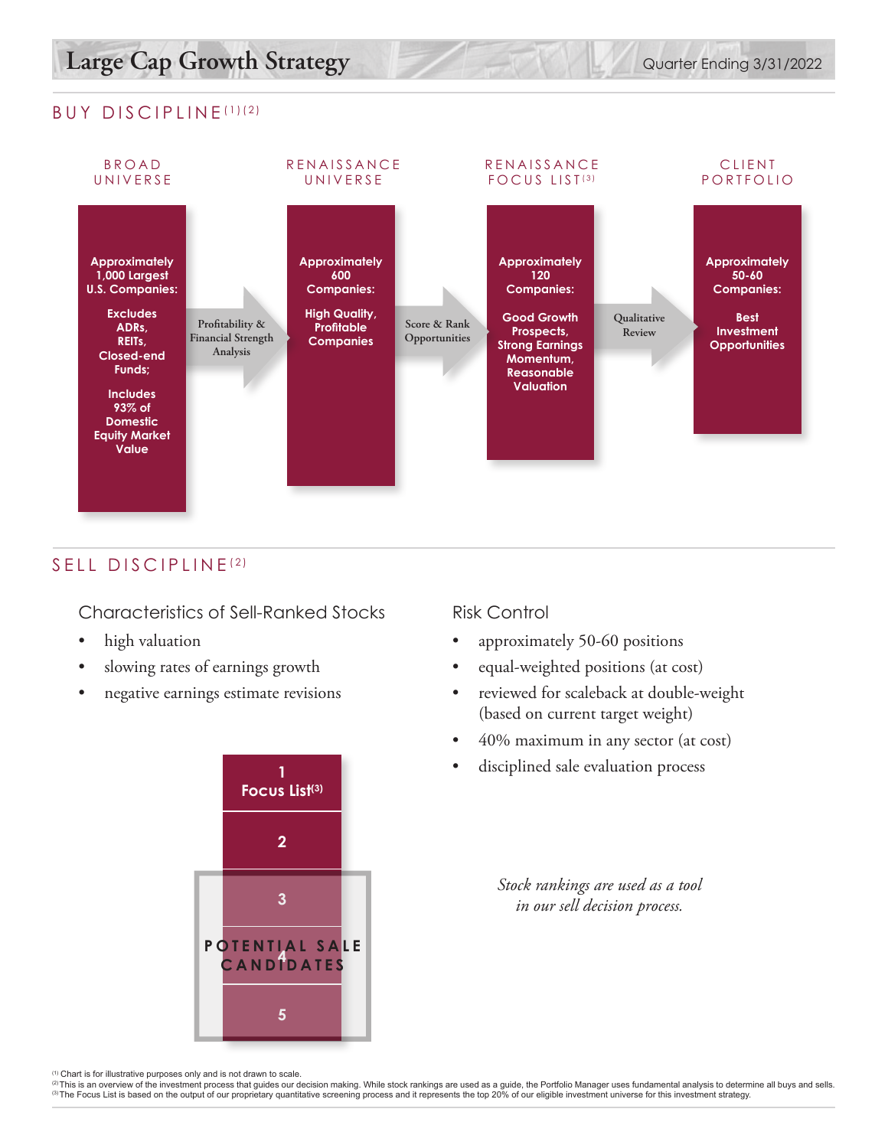# Large Cap Growth Strategy **Development Accounts** Quarter Ending 3/31/2022

#### BUY DISCIPLINE (1)(2)



## SELL DISCIPLINE<sup>(2)</sup>

Characteristics of Sell-Ranked Stocks

- high valuation
- slowing rates of earnings growth
- negative earnings estimate revisions



#### Risk Control

- approximately 50-60 positions
- equal-weighted positions (at cost)
- reviewed for scaleback at double-weight (based on current target weight)
- 40% maximum in any sector (at cost)
- disciplined sale evaluation process

*Stock rankings are used as a tool in our sell decision process.*

<sup>(1)</sup> Chart is for illustrative purposes only and is not drawn to scale.<br><sup>(2)</sup> This is an overview of the investment process that quides our decision making. While stock rankings are used as a quide, the Portfolio Manager (3) The Focus List is based on the output of our proprietary quantitative screening process and it represents the top 20% of our eligible investment universe for this investment strategy.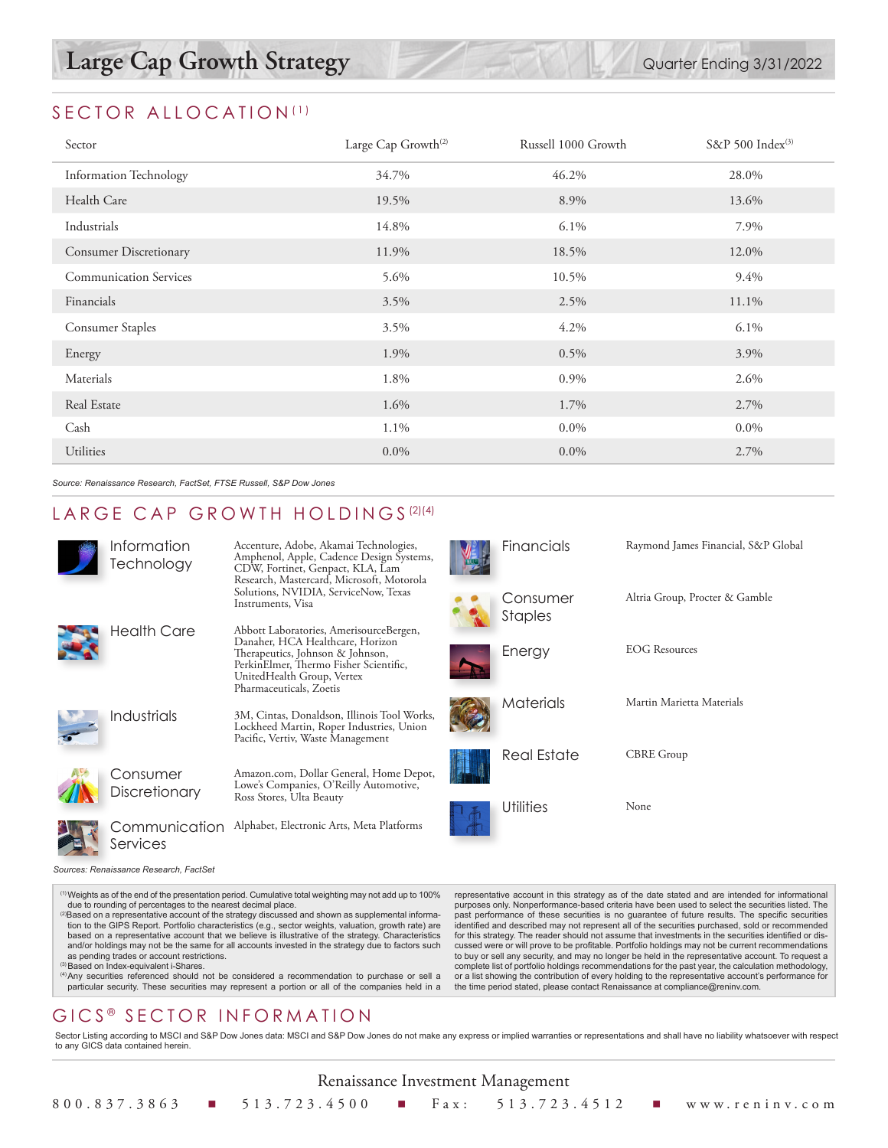### SECTOR ALLOCATION<sup>(1)</sup>

| Sector                        | Large Cap Growth <sup>(2)</sup> | Russell 1000 Growth | S&P 500 Index <sup>(3)</sup> |
|-------------------------------|---------------------------------|---------------------|------------------------------|
| <b>Information Technology</b> | 34.7%                           | 46.2%               | 28.0%                        |
| Health Care                   | 19.5%                           | 8.9%                | 13.6%                        |
| Industrials                   | 14.8%                           | $6.1\%$             | 7.9%                         |
| <b>Consumer Discretionary</b> | 11.9%                           | 18.5%               | 12.0%                        |
| <b>Communication Services</b> | 5.6%                            | 10.5%               | 9.4%                         |
| Financials                    | 3.5%                            | 2.5%                | 11.1%                        |
| <b>Consumer Staples</b>       | 3.5%                            | 4.2%                | $6.1\%$                      |
| Energy                        | 1.9%                            | 0.5%                | 3.9%                         |
| Materials                     | 1.8%                            | 0.9%                | 2.6%                         |
| Real Estate                   | 1.6%                            | 1.7%                | 2.7%                         |
| Cash                          | 1.1%                            | $0.0\%$             | $0.0\%$                      |
| Utilities                     | $0.0\%$                         | $0.0\%$             | 2.7%                         |

*Source: Renaissance Research, FactSet, FTSE Russell, S&P Dow Jones*

#### LARGE CAP GROWTH HOLDINGS<sup>(2)(4)</sup>

| Information<br>Technology              | Accenture, Adobe, Akamai Technologies,<br>Amphenol, Apple, Cadence Design Systems,<br>CDW, Fortinet, Genpact, KLA, Lam<br>Research, Mastercard, Microsoft, Motorola<br>Solutions, NVIDIA, ServiceNow, Texas<br>Instruments, Visa |
|----------------------------------------|----------------------------------------------------------------------------------------------------------------------------------------------------------------------------------------------------------------------------------|
| Health Care                            | Abbott Laboratories, AmerisourceBergen,<br>Danaher, HCA Healthcare, Horizon<br>Therapeutics, Johnson & Johnson,<br>PerkinElmer, Thermo Fisher Scientific,<br>UnitedHealth Group, Vertex<br>Pharmaceuticals, Zoetis               |
| Industrials                            | 3M, Cintas, Donaldson, Illinois Tool Works,<br>Lockheed Martin, Roper Industries, Union<br>Pacific, Vertiv, Waste Management                                                                                                     |
| Consumer<br><b>Discretionary</b>       | Amazon.com, Dollar General, Home Depot,<br>Lowe's Companies, O'Reilly Automotive,<br>Ross Stores, Ulta Beauty                                                                                                                    |
| Communication<br>Services              | Alphabet, Electronic Arts, Meta Platforms                                                                                                                                                                                        |
| Sources: Renaissance Research, FactSet |                                                                                                                                                                                                                                  |

(1)Weights as of the end of the presentation period. Cumulative total weighting may not add up to 100%

- due to rounding of percentages to the nearest decimal place.<br><sup>(2)</sup>Based on a representative account of the strategy discussed and shown as supplemental information to the GIPS Report. Portfolio characteristics (e.g., sector weights, valuation, growth rate) are based on a representative account that we believe is illustrative of the strategy. Characteristics and/or holdings may not be the same for all accounts invested in the strategy due to factors such as pending trades or account restrictions.
- as pending trades or account restrictions.<br><sup>(3)</sup>Based on Index-equivalent i-Shares.<br><sup>(4)</sup>Any securities referenced should not be considered a recommendation to purchase or sell a particular security. These securities may represent a portion or all of the companies held in a

## GICS ® SECTOR INFORMATION

representative account in this strategy as of the date stated and are intended for informational purposes only. Nonperformance-based criteria have been used to select the securities listed. The past performance of these securities is no guarantee of future results. The specific securities identified and described may not represent all of the securities purchased, sold or recommended for this strategy. The reader should not assume that investments in the securities identified or discussed were or will prove to be profitable. Portfolio holdings may not be current recommendations to buy or sell any security, and may no longer be held in the representative account. To request a complete list of portfolio holdings recommendations for the past year, the calculation methodology, or a list showing the contribution of every holding to the representative account's performance for the time period stated, please contact Renaissance at compliance@reninv.com.

Financials Raymond James Financial, S&P Global

Altria Group, Procter & Gamble

Consumer Staples

Energy EOG Resources

Real Estate CBRE Group

Utilities None

Materials Martin Marietta Materials

Sector Listing according to MSCI and S&P Dow Jones data: MSCI and S&P Dow Jones do not make any express or implied warranties or representations and shall have no liability whatsoever with respect to any GICS data contained herein.

|  |  | Renaissance Investment Management |                                                                  |
|--|--|-----------------------------------|------------------------------------------------------------------|
|  |  |                                   | 800.837.3863 ■ 513.723.4500 ■ Fax: 513.723.4512 ■ www.reninv.com |